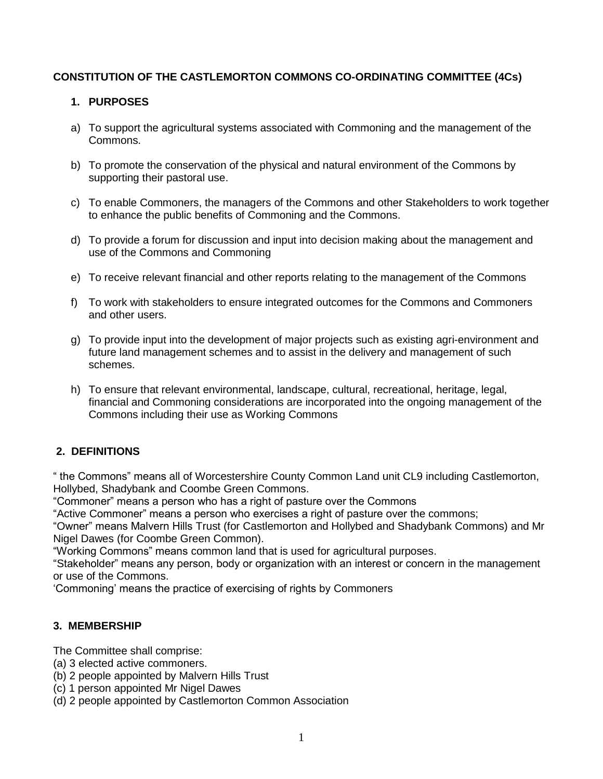# **CONSTITUTION OF THE CASTLEMORTON COMMONS CO-ORDINATING COMMITTEE (4Cs)**

# **1. PURPOSES**

- a) To support the agricultural systems associated with Commoning and the management of the Commons.
- b) To promote the conservation of the physical and natural environment of the Commons by supporting their pastoral use.
- c) To enable Commoners, the managers of the Commons and other Stakeholders to work together to enhance the public benefits of Commoning and the Commons.
- d) To provide a forum for discussion and input into decision making about the management and use of the Commons and Commoning
- e) To receive relevant financial and other reports relating to the management of the Commons
- f) To work with stakeholders to ensure integrated outcomes for the Commons and Commoners and other users.
- g) To provide input into the development of major projects such as existing agri-environment and future land management schemes and to assist in the delivery and management of such schemes.
- h) To ensure that relevant environmental, landscape, cultural, recreational, heritage, legal, financial and Commoning considerations are incorporated into the ongoing management of the Commons including their use as Working Commons

# **2. DEFINITIONS**

" the Commons" means all of Worcestershire County Common Land unit CL9 including Castlemorton, Hollybed, Shadybank and Coombe Green Commons.

"Commoner" means a person who has a right of pasture over the Commons

"Active Commoner" means a person who exercises a right of pasture over the commons;

"Owner" means Malvern Hills Trust (for Castlemorton and Hollybed and Shadybank Commons) and Mr Nigel Dawes (for Coombe Green Common).

"Working Commons" means common land that is used for agricultural purposes.

"Stakeholder" means any person, body or organization with an interest or concern in the management or use of the Commons.

'Commoning' means the practice of exercising of rights by Commoners

# **3. MEMBERSHIP**

The Committee shall comprise:

- (a) 3 elected active commoners.
- (b) 2 people appointed by Malvern Hills Trust
- (c) 1 person appointed Mr Nigel Dawes
- (d) 2 people appointed by Castlemorton Common Association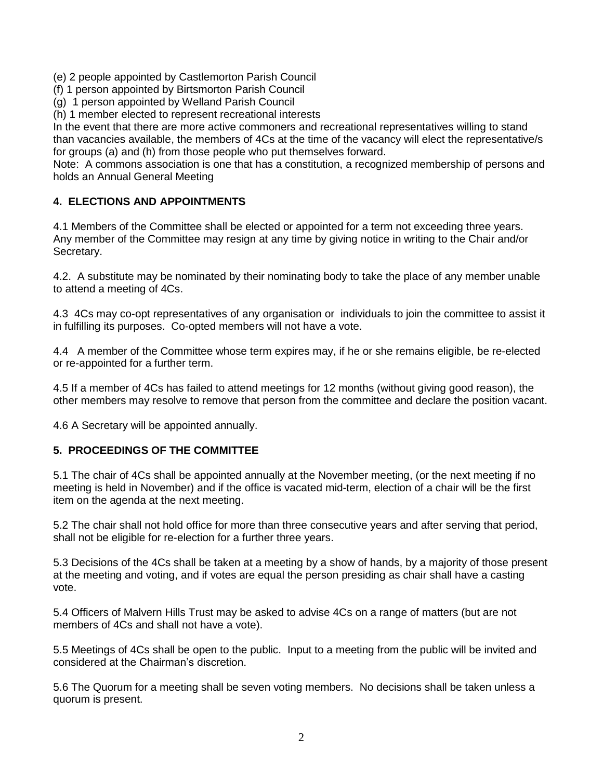(e) 2 people appointed by Castlemorton Parish Council

(f) 1 person appointed by Birtsmorton Parish Council

(g) 1 person appointed by Welland Parish Council

(h) 1 member elected to represent recreational interests

In the event that there are more active commoners and recreational representatives willing to stand than vacancies available, the members of 4Cs at the time of the vacancy will elect the representative/s for groups (a) and (h) from those people who put themselves forward.

Note: A commons association is one that has a constitution, a recognized membership of persons and holds an Annual General Meeting

## **4. ELECTIONS AND APPOINTMENTS**

4.1 Members of the Committee shall be elected or appointed for a term not exceeding three years. Any member of the Committee may resign at any time by giving notice in writing to the Chair and/or Secretary.

4.2. A substitute may be nominated by their nominating body to take the place of any member unable to attend a meeting of 4Cs.

4.3 4Cs may co-opt representatives of any organisation or individuals to join the committee to assist it in fulfilling its purposes. Co-opted members will not have a vote.

4.4 A member of the Committee whose term expires may, if he or she remains eligible, be re-elected or re-appointed for a further term.

4.5 If a member of 4Cs has failed to attend meetings for 12 months (without giving good reason), the other members may resolve to remove that person from the committee and declare the position vacant.

4.6 A Secretary will be appointed annually.

#### **5. PROCEEDINGS OF THE COMMITTEE**

5.1 The chair of 4Cs shall be appointed annually at the November meeting, (or the next meeting if no meeting is held in November) and if the office is vacated mid-term, election of a chair will be the first item on the agenda at the next meeting.

5.2 The chair shall not hold office for more than three consecutive years and after serving that period, shall not be eligible for re-election for a further three years.

5.3 Decisions of the 4Cs shall be taken at a meeting by a show of hands, by a majority of those present at the meeting and voting, and if votes are equal the person presiding as chair shall have a casting vote.

5.4 Officers of Malvern Hills Trust may be asked to advise 4Cs on a range of matters (but are not members of 4Cs and shall not have a vote).

5.5 Meetings of 4Cs shall be open to the public. Input to a meeting from the public will be invited and considered at the Chairman's discretion.

5.6 The Quorum for a meeting shall be seven voting members. No decisions shall be taken unless a quorum is present.